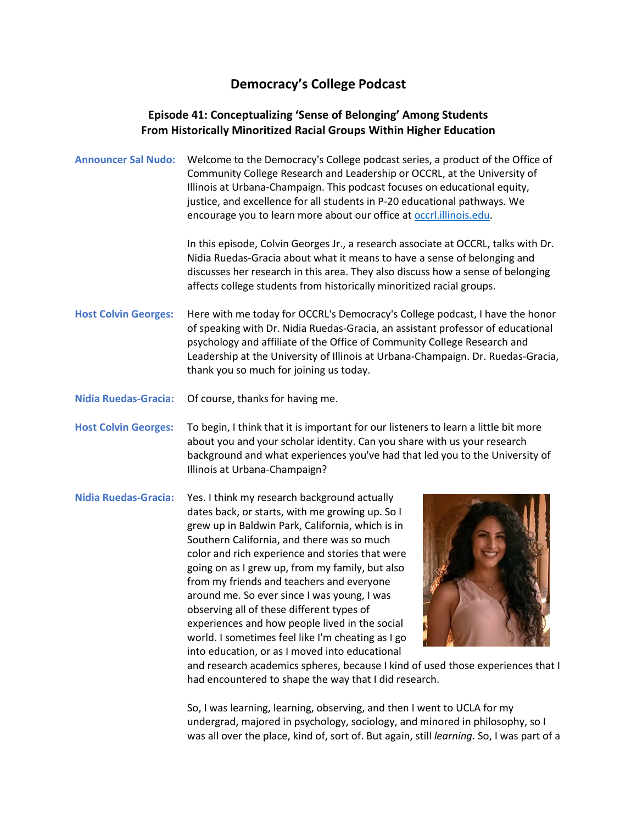## **Democracy's College Podcast**

## **Episode 41: Conceptualizing 'Sense of Belonging' Among Students From Historically Minoritized Racial Groups Within Higher Education**

**Announcer Sal Nudo:** Welcome to the Democracy's College podcast series, a product of the Office of Community College Research and Leadership or OCCRL, at the University of Illinois at Urbana-Champaign. This podcast focuses on educational equity, justice, and excellence for all students in P-20 educational pathways. We encourage you to learn more about our office at **occrl.illinois.edu**.

> In this episode, Colvin Georges Jr., a research associate at OCCRL, talks with Dr. Nidia Ruedas-Gracia about what it means to have a sense of belonging and discusses her research in this area. They also discuss how a sense of belonging affects college students from historically minoritized racial groups.

**Host Colvin Georges:** Here with me today for OCCRL's Democracy's College podcast, I have the honor of speaking with Dr. Nidia Ruedas-Gracia, an assistant professor of educational psychology and affiliate of the Office of Community College Research and Leadership at the University of Illinois at Urbana-Champaign. Dr. Ruedas-Gracia, thank you so much for joining us today.

**Nidia Ruedas-Gracia:** Of course, thanks for having me.

**Host Colvin Georges:** To begin, I think that it is important for our listeners to learn a little bit more about you and your scholar identity. Can you share with us your research background and what experiences you've had that led you to the University of Illinois at Urbana-Champaign?

**Nidia Ruedas-Gracia:** Yes. I think my research background actually dates back, or starts, with me growing up. So I grew up in Baldwin Park, California, which is in Southern California, and there was so much color and rich experience and stories that were going on as I grew up, from my family, but also from my friends and teachers and everyone around me. So ever since I was young, I was observing all of these different types of experiences and how people lived in the social world. I sometimes feel like I'm cheating as I go into education, or as I moved into educational



and research academics spheres, because I kind of used those experiences that I had encountered to shape the way that I did research.

So, I was learning, learning, observing, and then I went to UCLA for my undergrad, majored in psychology, sociology, and minored in philosophy, so I was all over the place, kind of, sort of. But again, still *learning*. So, I was part of a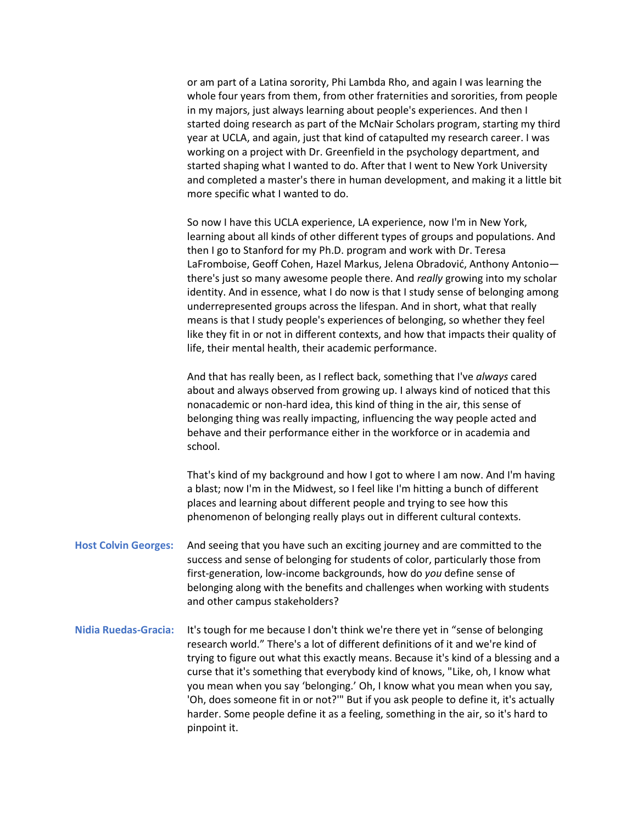or am part of a Latina sorority, Phi Lambda Rho, and again I was learning the whole four years from them, from other fraternities and sororities, from people in my majors, just always learning about people's experiences. And then I started doing research as part of the McNair Scholars program, starting my third year at UCLA, and again, just that kind of catapulted my research career. I was working on a project with Dr. Greenfield in the psychology department, and started shaping what I wanted to do. After that I went to New York University and completed a master's there in human development, and making it a little bit more specific what I wanted to do.

So now I have this UCLA experience, LA experience, now I'm in New York, learning about all kinds of other different types of groups and populations. And then I go to Stanford for my Ph.D. program and work with Dr. Teresa LaFromboise, Geoff Cohen, Hazel Markus, Jelena Obradović, Anthony Antonio there's just so many awesome people there. And *really* growing into my scholar identity. And in essence, what I do now is that I study sense of belonging among underrepresented groups across the lifespan. And in short, what that really means is that I study people's experiences of belonging, so whether they feel like they fit in or not in different contexts, and how that impacts their quality of life, their mental health, their academic performance.

And that has really been, as I reflect back, something that I've *always* cared about and always observed from growing up. I always kind of noticed that this nonacademic or non-hard idea, this kind of thing in the air, this sense of belonging thing was really impacting, influencing the way people acted and behave and their performance either in the workforce or in academia and school.

That's kind of my background and how I got to where I am now. And I'm having a blast; now I'm in the Midwest, so I feel like I'm hitting a bunch of different places and learning about different people and trying to see how this phenomenon of belonging really plays out in different cultural contexts.

- **Host Colvin Georges:** And seeing that you have such an exciting journey and are committed to the success and sense of belonging for students of color, particularly those from first-generation, low-income backgrounds, how do *you* define sense of belonging along with the benefits and challenges when working with students and other campus stakeholders?
- **Nidia Ruedas-Gracia:** It's tough for me because I don't think we're there yet in "sense of belonging research world." There's a lot of different definitions of it and we're kind of trying to figure out what this exactly means. Because it's kind of a blessing and a curse that it's something that everybody kind of knows, "Like, oh, I know what you mean when you say 'belonging.' Oh, I know what you mean when you say, 'Oh, does someone fit in or not?'" But if you ask people to define it, it's actually harder. Some people define it as a feeling, something in the air, so it's hard to pinpoint it.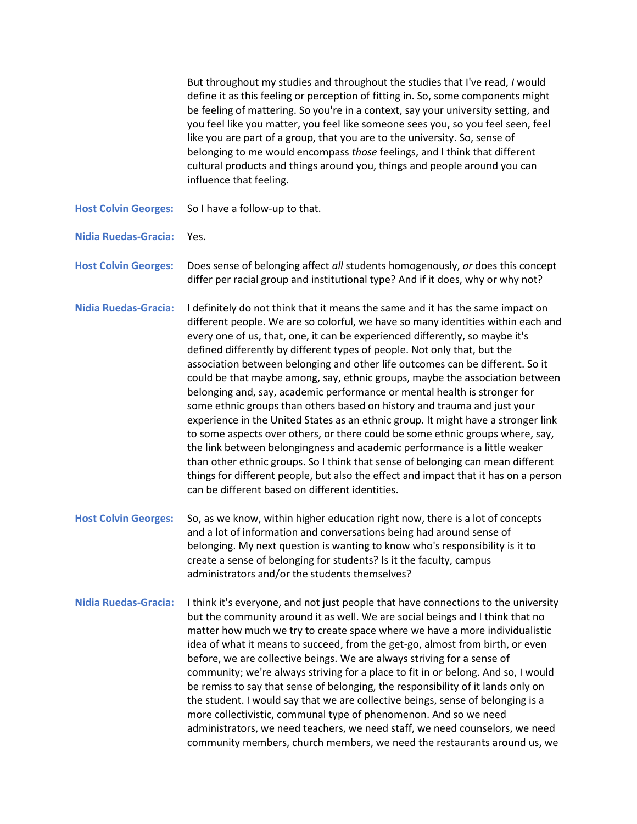|                             | But throughout my studies and throughout the studies that I've read, I would<br>define it as this feeling or perception of fitting in. So, some components might<br>be feeling of mattering. So you're in a context, say your university setting, and<br>you feel like you matter, you feel like someone sees you, so you feel seen, feel<br>like you are part of a group, that you are to the university. So, sense of<br>belonging to me would encompass those feelings, and I think that different<br>cultural products and things around you, things and people around you can<br>influence that feeling.                                                                                                                                                                                                                                                                                                                                                                                                                                                                                                                             |
|-----------------------------|-------------------------------------------------------------------------------------------------------------------------------------------------------------------------------------------------------------------------------------------------------------------------------------------------------------------------------------------------------------------------------------------------------------------------------------------------------------------------------------------------------------------------------------------------------------------------------------------------------------------------------------------------------------------------------------------------------------------------------------------------------------------------------------------------------------------------------------------------------------------------------------------------------------------------------------------------------------------------------------------------------------------------------------------------------------------------------------------------------------------------------------------|
| <b>Host Colvin Georges:</b> | So I have a follow-up to that.                                                                                                                                                                                                                                                                                                                                                                                                                                                                                                                                                                                                                                                                                                                                                                                                                                                                                                                                                                                                                                                                                                            |
| <b>Nidia Ruedas-Gracia:</b> | Yes.                                                                                                                                                                                                                                                                                                                                                                                                                                                                                                                                                                                                                                                                                                                                                                                                                                                                                                                                                                                                                                                                                                                                      |
| <b>Host Colvin Georges:</b> | Does sense of belonging affect all students homogenously, or does this concept<br>differ per racial group and institutional type? And if it does, why or why not?                                                                                                                                                                                                                                                                                                                                                                                                                                                                                                                                                                                                                                                                                                                                                                                                                                                                                                                                                                         |
| <b>Nidia Ruedas-Gracia:</b> | I definitely do not think that it means the same and it has the same impact on<br>different people. We are so colorful, we have so many identities within each and<br>every one of us, that, one, it can be experienced differently, so maybe it's<br>defined differently by different types of people. Not only that, but the<br>association between belonging and other life outcomes can be different. So it<br>could be that maybe among, say, ethnic groups, maybe the association between<br>belonging and, say, academic performance or mental health is stronger for<br>some ethnic groups than others based on history and trauma and just your<br>experience in the United States as an ethnic group. It might have a stronger link<br>to some aspects over others, or there could be some ethnic groups where, say,<br>the link between belongingness and academic performance is a little weaker<br>than other ethnic groups. So I think that sense of belonging can mean different<br>things for different people, but also the effect and impact that it has on a person<br>can be different based on different identities. |
| <b>Host Colvin Georges:</b> | So, as we know, within higher education right now, there is a lot of concepts<br>and a lot of information and conversations being had around sense of<br>belonging. My next question is wanting to know who's responsibility is it to<br>create a sense of belonging for students? Is it the faculty, campus<br>administrators and/or the students themselves?                                                                                                                                                                                                                                                                                                                                                                                                                                                                                                                                                                                                                                                                                                                                                                            |
| <b>Nidia Ruedas-Gracia:</b> | I think it's everyone, and not just people that have connections to the university<br>but the community around it as well. We are social beings and I think that no<br>matter how much we try to create space where we have a more individualistic<br>idea of what it means to succeed, from the get-go, almost from birth, or even<br>before, we are collective beings. We are always striving for a sense of<br>community; we're always striving for a place to fit in or belong. And so, I would<br>be remiss to say that sense of belonging, the responsibility of it lands only on<br>the student. I would say that we are collective beings, sense of belonging is a<br>more collectivistic, communal type of phenomenon. And so we need<br>administrators, we need teachers, we need staff, we need counselors, we need<br>community members, church members, we need the restaurants around us, we                                                                                                                                                                                                                                |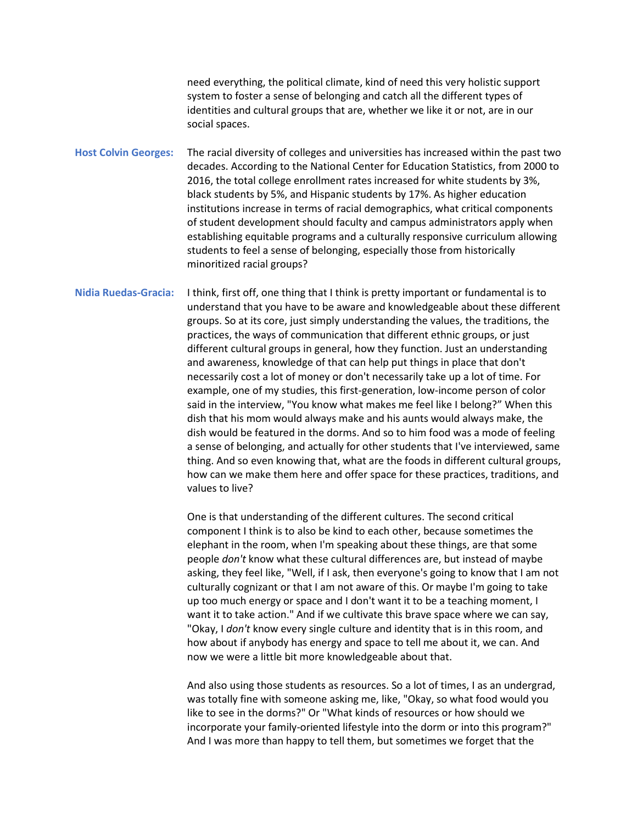need everything, the political climate, kind of need this very holistic support system to foster a sense of belonging and catch all the different types of identities and cultural groups that are, whether we like it or not, are in our social spaces.

**Host Colvin Georges:** The racial diversity of colleges and universities has increased within the past two decades. According to the National Center for Education Statistics, from 2000 to 2016, the total college enrollment rates increased for white students by 3%, black students by 5%, and Hispanic students by 17%. As higher education institutions increase in terms of racial demographics, what critical components of student development should faculty and campus administrators apply when establishing equitable programs and a culturally responsive curriculum allowing students to feel a sense of belonging, especially those from historically minoritized racial groups?

**Nidia Ruedas-Gracia:** I think, first off, one thing that I think is pretty important or fundamental is to understand that you have to be aware and knowledgeable about these different groups. So at its core, just simply understanding the values, the traditions, the practices, the ways of communication that different ethnic groups, or just different cultural groups in general, how they function. Just an understanding and awareness, knowledge of that can help put things in place that don't necessarily cost a lot of money or don't necessarily take up a lot of time. For example, one of my studies, this first-generation, low-income person of color said in the interview, "You know what makes me feel like I belong?" When this dish that his mom would always make and his aunts would always make, the dish would be featured in the dorms. And so to him food was a mode of feeling a sense of belonging, and actually for other students that I've interviewed, same thing. And so even knowing that, what are the foods in different cultural groups, how can we make them here and offer space for these practices, traditions, and values to live?

> One is that understanding of the different cultures. The second critical component I think is to also be kind to each other, because sometimes the elephant in the room, when I'm speaking about these things, are that some people *don't* know what these cultural differences are, but instead of maybe asking, they feel like, "Well, if I ask, then everyone's going to know that I am not culturally cognizant or that I am not aware of this. Or maybe I'm going to take up too much energy or space and I don't want it to be a teaching moment, I want it to take action." And if we cultivate this brave space where we can say, "Okay, I *don't* know every single culture and identity that is in this room, and how about if anybody has energy and space to tell me about it, we can. And now we were a little bit more knowledgeable about that.

And also using those students as resources. So a lot of times, I as an undergrad, was totally fine with someone asking me, like, "Okay, so what food would you like to see in the dorms?" Or "What kinds of resources or how should we incorporate your family-oriented lifestyle into the dorm or into this program?" And I was more than happy to tell them, but sometimes we forget that the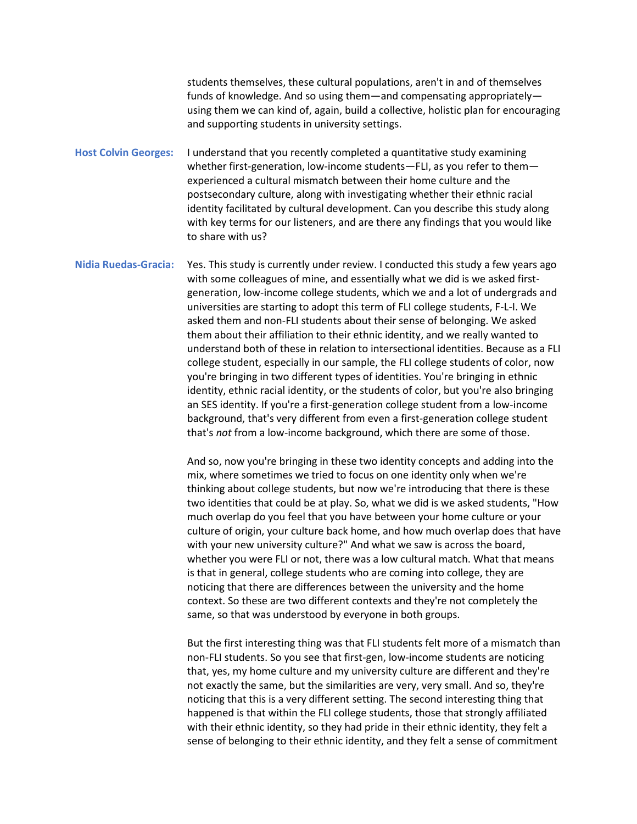students themselves, these cultural populations, aren't in and of themselves funds of knowledge. And so using them—and compensating appropriately using them we can kind of, again, build a collective, holistic plan for encouraging and supporting students in university settings.

**Host Colvin Georges:** I understand that you recently completed a quantitative study examining whether first-generation, low-income students—FLI, as you refer to them experienced a cultural mismatch between their home culture and the postsecondary culture, along with investigating whether their ethnic racial identity facilitated by cultural development. Can you describe this study along with key terms for our listeners, and are there any findings that you would like to share with us?

**Nidia Ruedas-Gracia:** Yes. This study is currently under review. I conducted this study a few years ago with some colleagues of mine, and essentially what we did is we asked firstgeneration, low-income college students, which we and a lot of undergrads and universities are starting to adopt this term of FLI college students, F-L-I. We asked them and non-FLI students about their sense of belonging. We asked them about their affiliation to their ethnic identity, and we really wanted to understand both of these in relation to intersectional identities. Because as a FLI college student, especially in our sample, the FLI college students of color, now you're bringing in two different types of identities. You're bringing in ethnic identity, ethnic racial identity, or the students of color, but you're also bringing an SES identity. If you're a first-generation college student from a low-income background, that's very different from even a first-generation college student that's *not* from a low-income background, which there are some of those.

> And so, now you're bringing in these two identity concepts and adding into the mix, where sometimes we tried to focus on one identity only when we're thinking about college students, but now we're introducing that there is these two identities that could be at play. So, what we did is we asked students, "How much overlap do you feel that you have between your home culture or your culture of origin, your culture back home, and how much overlap does that have with your new university culture?" And what we saw is across the board, whether you were FLI or not, there was a low cultural match. What that means is that in general, college students who are coming into college, they are noticing that there are differences between the university and the home context. So these are two different contexts and they're not completely the same, so that was understood by everyone in both groups.

> But the first interesting thing was that FLI students felt more of a mismatch than non-FLI students. So you see that first-gen, low-income students are noticing that, yes, my home culture and my university culture are different and they're not exactly the same, but the similarities are very, very small. And so, they're noticing that this is a very different setting. The second interesting thing that happened is that within the FLI college students, those that strongly affiliated with their ethnic identity, so they had pride in their ethnic identity, they felt a sense of belonging to their ethnic identity, and they felt a sense of commitment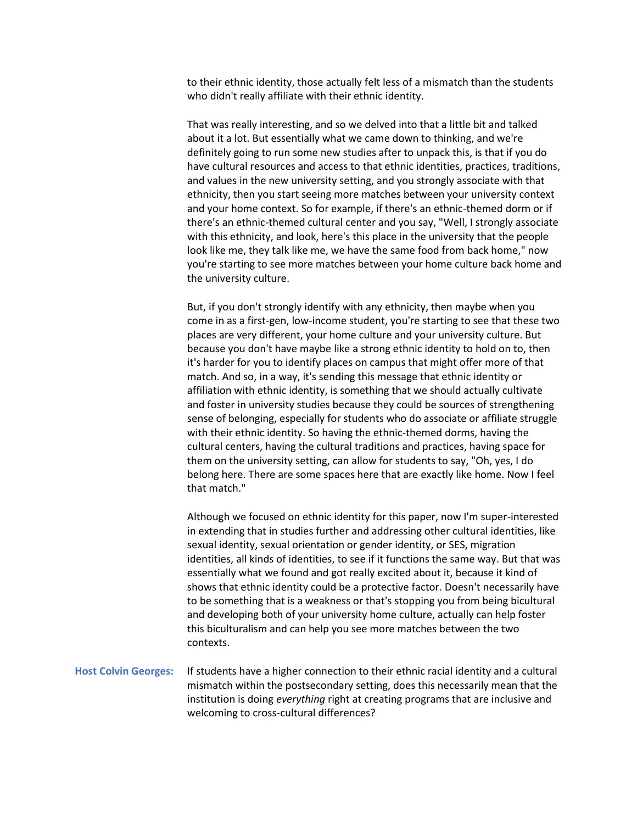to their ethnic identity, those actually felt less of a mismatch than the students who didn't really affiliate with their ethnic identity.

That was really interesting, and so we delved into that a little bit and talked about it a lot. But essentially what we came down to thinking, and we're definitely going to run some new studies after to unpack this, is that if you do have cultural resources and access to that ethnic identities, practices, traditions, and values in the new university setting, and you strongly associate with that ethnicity, then you start seeing more matches between your university context and your home context. So for example, if there's an ethnic-themed dorm or if there's an ethnic-themed cultural center and you say, "Well, I strongly associate with this ethnicity, and look, here's this place in the university that the people look like me, they talk like me, we have the same food from back home," now you're starting to see more matches between your home culture back home and the university culture.

But, if you don't strongly identify with any ethnicity, then maybe when you come in as a first-gen, low-income student, you're starting to see that these two places are very different, your home culture and your university culture. But because you don't have maybe like a strong ethnic identity to hold on to, then it's harder for you to identify places on campus that might offer more of that match. And so, in a way, it's sending this message that ethnic identity or affiliation with ethnic identity, is something that we should actually cultivate and foster in university studies because they could be sources of strengthening sense of belonging, especially for students who do associate or affiliate struggle with their ethnic identity. So having the ethnic-themed dorms, having the cultural centers, having the cultural traditions and practices, having space for them on the university setting, can allow for students to say, "Oh, yes, I do belong here. There are some spaces here that are exactly like home. Now I feel that match."

Although we focused on ethnic identity for this paper, now I'm super-interested in extending that in studies further and addressing other cultural identities, like sexual identity, sexual orientation or gender identity, or SES, migration identities, all kinds of identities, to see if it functions the same way. But that was essentially what we found and got really excited about it, because it kind of shows that ethnic identity could be a protective factor. Doesn't necessarily have to be something that is a weakness or that's stopping you from being bicultural and developing both of your university home culture, actually can help foster this biculturalism and can help you see more matches between the two contexts.

## **Host Colvin Georges:** If students have a higher connection to their ethnic racial identity and a cultural mismatch within the postsecondary setting, does this necessarily mean that the institution is doing *everything* right at creating programs that are inclusive and welcoming to cross-cultural differences?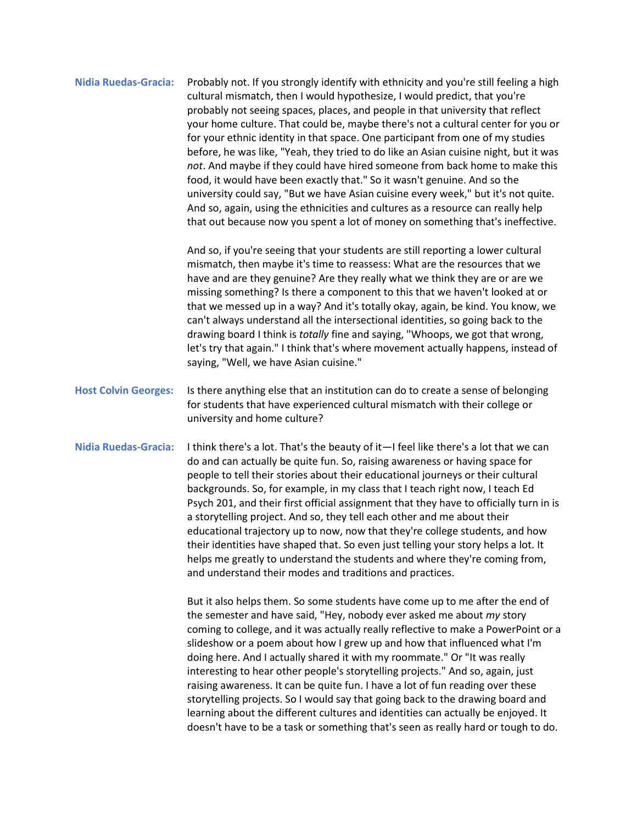**Nidia Ruedas-Gracia:** Probably not. If you strongly identify with ethnicity and you're still feeling a high cultural mismatch, then I would hypothesize, I would predict, that you're probably not seeing spaces, places, and people in that university that reflect your home culture. That could be, maybe there's not a cultural center for you or for your ethnic identity in that space. One participant from one of my studies before, he was like, "Yeah, they tried to do like an Asian cuisine night, but it was *not*. And maybe if they could have hired someone from back home to make this food, it would have been exactly that." So it wasn't genuine. And so the university could say, "But we have Asian cuisine every week," but it's not quite. And so, again, using the ethnicities and cultures as a resource can really help that out because now you spent a lot of money on something that's ineffective.

> And so, if you're seeing that your students are still reporting a lower cultural mismatch, then maybe it's time to reassess: What are the resources that we have and are they genuine? Are they really what we think they are or are we missing something? Is there a component to this that we haven't looked at or that we messed up in a way? And it's totally okay, again, be kind. You know, we can't always understand all the intersectional identities, so going back to the drawing board I think is *totally* fine and saying, "Whoops, we got that wrong, let's try that again." I think that's where movement actually happens, instead of saying, "Well, we have Asian cuisine."

- **Host Colvin Georges:** Is there anything else that an institution can do to create a sense of belonging for students that have experienced cultural mismatch with their college or university and home culture?
- **Nidia Ruedas-Gracia:** I think there's a lot. That's the beauty of it—I feel like there's a lot that we can do and can actually be quite fun. So, raising awareness or having space for people to tell their stories about their educational journeys or their cultural backgrounds. So, for example, in my class that I teach right now, I teach Ed Psych 201, and their first official assignment that they have to officially turn in is a storytelling project. And so, they tell each other and me about their educational trajectory up to now, now that they're college students, and how their identities have shaped that. So even just telling your story helps a lot. It helps me greatly to understand the students and where they're coming from, and understand their modes and traditions and practices.

But it also helps them. So some students have come up to me after the end of the semester and have said, "Hey, nobody ever asked me about *my* story coming to college, and it was actually really reflective to make a PowerPoint or a slideshow or a poem about how I grew up and how that influenced what I'm doing here. And I actually shared it with my roommate." Or "It was really interesting to hear other people's storytelling projects." And so, again, just raising awareness. It can be quite fun. I have a lot of fun reading over these storytelling projects. So I would say that going back to the drawing board and learning about the different cultures and identities can actually be enjoyed. It doesn't have to be a task or something that's seen as really hard or tough to do.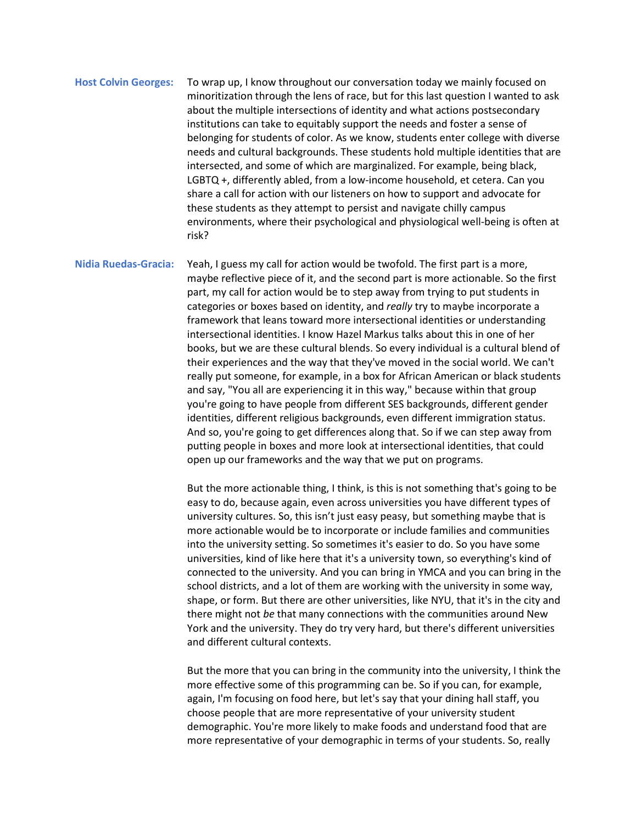**Host Colvin Georges:** To wrap up, I know throughout our conversation today we mainly focused on minoritization through the lens of race, but for this last question I wanted to ask about the multiple intersections of identity and what actions postsecondary institutions can take to equitably support the needs and foster a sense of belonging for students of color. As we know, students enter college with diverse needs and cultural backgrounds. These students hold multiple identities that are intersected, and some of which are marginalized. For example, being black, LGBTQ +, differently abled, from a low-income household, et cetera. Can you share a call for action with our listeners on how to support and advocate for these students as they attempt to persist and navigate chilly campus environments, where their psychological and physiological well-being is often at risk?

**Nidia Ruedas-Gracia:** Yeah, I guess my call for action would be twofold. The first part is a more, maybe reflective piece of it, and the second part is more actionable. So the first part, my call for action would be to step away from trying to put students in categories or boxes based on identity, and *really* try to maybe incorporate a framework that leans toward more intersectional identities or understanding intersectional identities. I know Hazel Markus talks about this in one of her books, but we are these cultural blends. So every individual is a cultural blend of their experiences and the way that they've moved in the social world. We can't really put someone, for example, in a box for African American or black students and say, "You all are experiencing it in this way," because within that group you're going to have people from different SES backgrounds, different gender identities, different religious backgrounds, even different immigration status. And so, you're going to get differences along that. So if we can step away from putting people in boxes and more look at intersectional identities, that could open up our frameworks and the way that we put on programs.

> But the more actionable thing, I think, is this is not something that's going to be easy to do, because again, even across universities you have different types of university cultures. So, this isn't just easy peasy, but something maybe that is more actionable would be to incorporate or include families and communities into the university setting. So sometimes it's easier to do. So you have some universities, kind of like here that it's a university town, so everything's kind of connected to the university. And you can bring in YMCA and you can bring in the school districts, and a lot of them are working with the university in some way, shape, or form. But there are other universities, like NYU, that it's in the city and there might not *be* that many connections with the communities around New York and the university. They do try very hard, but there's different universities and different cultural contexts.

> But the more that you can bring in the community into the university, I think the more effective some of this programming can be. So if you can, for example, again, I'm focusing on food here, but let's say that your dining hall staff, you choose people that are more representative of your university student demographic. You're more likely to make foods and understand food that are more representative of your demographic in terms of your students. So, really